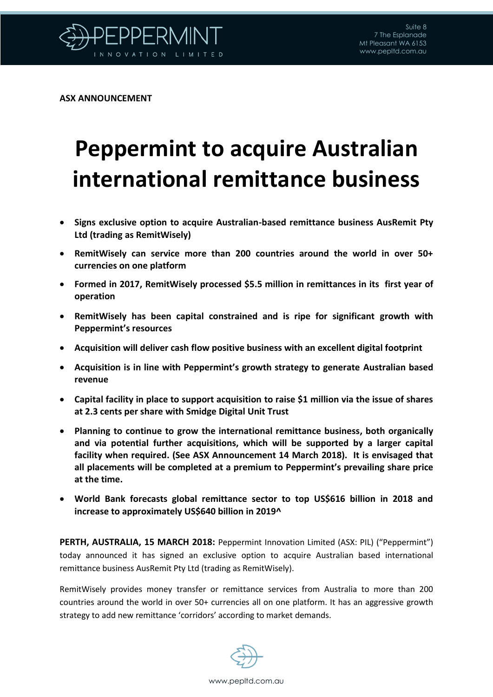

**ASX ANNOUNCEMENT**

## **Peppermint to acquire Australian international remittance business**

- **Signs exclusive option to acquire Australian-based remittance business AusRemit Pty Ltd (trading as RemitWisely)**
- **RemitWisely can service more than 200 countries around the world in over 50+ currencies on one platform**
- **Formed in 2017, RemitWisely processed \$5.5 million in remittances in its first year of operation**
- **RemitWisely has been capital constrained and is ripe for significant growth with Peppermint's resources**
- **Acquisition will deliver cash flow positive business with an excellent digital footprint**
- **Acquisition is in line with Peppermint's growth strategy to generate Australian based revenue**
- **Capital facility in place to support acquisition to raise \$1 million via the issue of shares at 2.3 cents per share with Smidge Digital Unit Trust**
- **Planning to continue to grow the international remittance business, both organically and via potential further acquisitions, which will be supported by a larger capital facility when required. (See ASX Announcement 14 March 2018). It is envisaged that all placements will be completed at a premium to Peppermint's prevailing share price at the time.**
- **World Bank forecasts global remittance sector to top US\$616 billion in 2018 and increase to approximately US\$640 billion in 2019^**

**PERTH, AUSTRALIA, 15 MARCH 2018:** Peppermint Innovation Limited (ASX: PIL) ("Peppermint") today announced it has signed an exclusive option to acquire Australian based international remittance business AusRemit Pty Ltd (trading as RemitWisely).

RemitWisely provides money transfer or remittance services from Australia to more than 200 countries around the world in over 50+ currencies all on one platform. It has an aggressive growth strategy to add new remittance 'corridors' according to market demands.

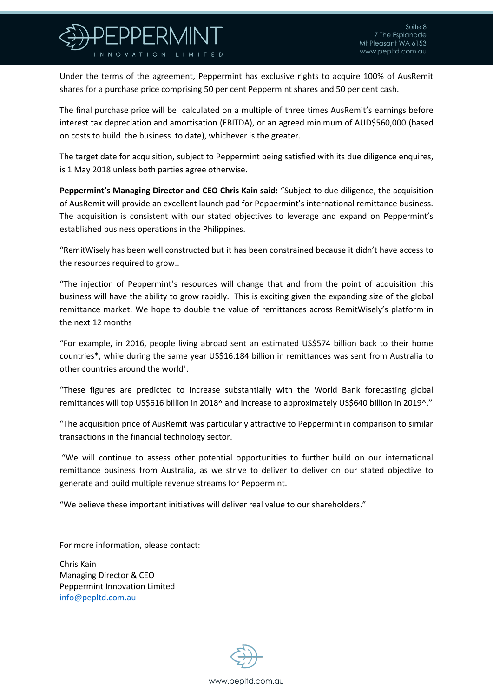

Under the terms of the agreement, Peppermint has exclusive rights to acquire 100% of AusRemit shares for a purchase price comprising 50 per cent Peppermint shares and 50 per cent cash.

The final purchase price will be calculated on a multiple of three times AusRemit's earnings before interest tax depreciation and amortisation (EBITDA), or an agreed minimum of AUD\$560,000 (based on costs to build the business to date), whichever is the greater.

The target date for acquisition, subject to Peppermint being satisfied with its due diligence enquires, is 1 May 2018 unless both parties agree otherwise.

**Peppermint's Managing Director and CEO Chris Kain said:** "Subject to due diligence, the acquisition of AusRemit will provide an excellent launch pad for Peppermint's international remittance business. The acquisition is consistent with our stated objectives to leverage and expand on Peppermint's established business operations in the Philippines.

"RemitWisely has been well constructed but it has been constrained because it didn't have access to the resources required to grow..

"The injection of Peppermint's resources will change that and from the point of acquisition this business will have the ability to grow rapidly. This is exciting given the expanding size of the global remittance market. We hope to double the value of remittances across RemitWisely's platform in the next 12 months

"For example, in 2016, people living abroad sent an estimated US\$574 billion back to their home countries\*, while during the same year US\$16.184 billion in remittances was sent from Australia to other countries around the world<sup>+</sup>.

"These figures are predicted to increase substantially with the World Bank forecasting global remittances will top US\$616 billion in 2018^ and increase to approximately US\$640 billion in 2019^."

"The acquisition price of AusRemit was particularly attractive to Peppermint in comparison to similar transactions in the financial technology sector.

"We will continue to assess other potential opportunities to further build on our international remittance business from Australia, as we strive to deliver to deliver on our stated objective to generate and build multiple revenue streams for Peppermint.

"We believe these important initiatives will deliver real value to our shareholders."

For more information, please contact:

Chris Kain Managing Director & CEO Peppermint Innovation Limited [info@pepltd.com.au](mailto:info@pepltd.com.au)